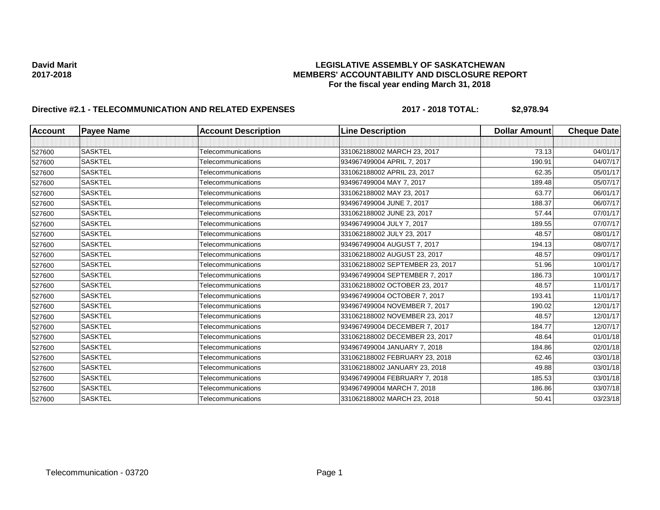### **David Marit LEGISLATIVE ASSEMBLY OF SASKATCHEWAN 2017-2018 MEMBERS' ACCOUNTABILITY AND DISCLOSURE REPORT For the fiscal year ending March 31, 2018**

# **Directive #2.1 - TELECOMMUNICATION AND RELATED EXPENSES** 2017 - 2018 TOTAL: \$2,978.94

| <b>Account</b> | <b>Payee Name</b> | <b>Account Description</b> | <b>Line Description</b>         | <b>Dollar Amount</b> | <b>Cheque Date</b> |
|----------------|-------------------|----------------------------|---------------------------------|----------------------|--------------------|
|                |                   |                            |                                 |                      |                    |
| 527600         | <b>SASKTEL</b>    | Telecommunications         | 331062188002 MARCH 23, 2017     | 73.13                | 04/01/17           |
| 527600         | <b>SASKTEL</b>    | Telecommunications         | 934967499004 APRIL 7, 2017      | 190.91               | 04/07/17           |
| 527600         | <b>SASKTEL</b>    | Telecommunications         | 331062188002 APRIL 23, 2017     | 62.35                | 05/01/17           |
| 527600         | <b>SASKTEL</b>    | Telecommunications         | 934967499004 MAY 7, 2017        | 189.48               | 05/07/17           |
| 527600         | <b>SASKTEL</b>    | Telecommunications         | 331062188002 MAY 23, 2017       | 63.77                | 06/01/17           |
| 527600         | <b>SASKTEL</b>    | Telecommunications         | 934967499004 JUNE 7, 2017       | 188.37               | 06/07/17           |
| 527600         | <b>SASKTEL</b>    | Telecommunications         | 331062188002 JUNE 23, 2017      | 57.44                | 07/01/17           |
| 527600         | <b>SASKTEL</b>    | Telecommunications         | 934967499004 JULY 7, 2017       | 189.55               | 07/07/17           |
| 527600         | <b>SASKTEL</b>    | Telecommunications         | 331062188002 JULY 23, 2017      | 48.57                | 08/01/17           |
| 527600         | <b>SASKTEL</b>    | Telecommunications         | 934967499004 AUGUST 7, 2017     | 194.13               | 08/07/17           |
| 527600         | <b>SASKTEL</b>    | Telecommunications         | 331062188002 AUGUST 23, 2017    | 48.57                | 09/01/17           |
| 527600         | <b>SASKTEL</b>    | Telecommunications         | 331062188002 SEPTEMBER 23, 2017 | 51.96                | 10/01/17           |
| 527600         | <b>SASKTEL</b>    | Telecommunications         | 934967499004 SEPTEMBER 7, 2017  | 186.73               | 10/01/17           |
| 527600         | <b>SASKTEL</b>    | Telecommunications         | 331062188002 OCTOBER 23, 2017   | 48.57                | 11/01/17           |
| 527600         | <b>SASKTEL</b>    | Telecommunications         | 934967499004 OCTOBER 7, 2017    | 193.41               | 11/01/17           |
| 527600         | <b>SASKTEL</b>    | Telecommunications         | 934967499004 NOVEMBER 7, 2017   | 190.02               | 12/01/17           |
| 527600         | <b>SASKTEL</b>    | <b>Telecommunications</b>  | 331062188002 NOVEMBER 23, 2017  | 48.57                | 12/01/17           |
| 527600         | <b>SASKTEL</b>    | Telecommunications         | 934967499004 DECEMBER 7, 2017   | 184.77               | 12/07/17           |
| 527600         | <b>SASKTEL</b>    | Telecommunications         | 331062188002 DECEMBER 23, 2017  | 48.64                | 01/01/18           |
| 527600         | <b>SASKTEL</b>    | Telecommunications         | 934967499004 JANUARY 7, 2018    | 184.86               | 02/01/18           |
| 527600         | <b>SASKTEL</b>    | <b>Telecommunications</b>  | 331062188002 FEBRUARY 23, 2018  | 62.46                | 03/01/18           |
| 527600         | <b>SASKTEL</b>    | Telecommunications         | 331062188002 JANUARY 23, 2018   | 49.88                | 03/01/18           |
| 527600         | <b>SASKTEL</b>    | Telecommunications         | 934967499004 FEBRUARY 7, 2018   | 185.53               | 03/01/18           |
| 527600         | SASKTEL           | Telecommunications         | 934967499004 MARCH 7, 2018      | 186.86               | 03/07/18           |
| 527600         | SASKTEL           | Telecommunications         | 331062188002 MARCH 23, 2018     | 50.41                | 03/23/18           |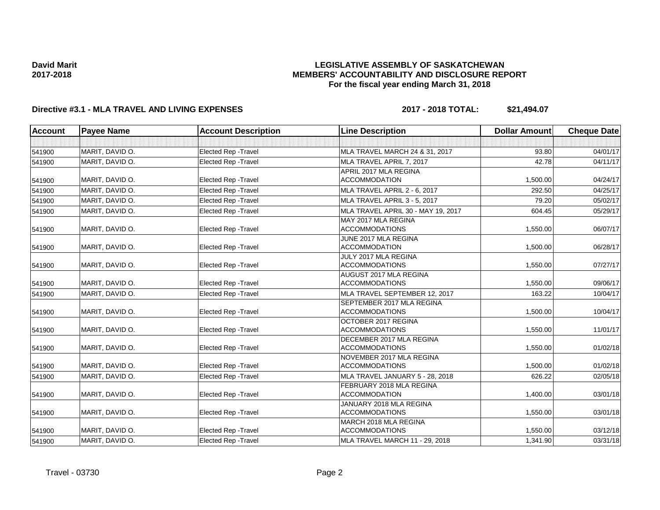### **LEGISLATIVE ASSEMBLY OF SASKATCHEWAN MEMBERS' ACCOUNTABILITY AND DISCLOSURE REPORT For the fiscal year ending March 31, 2018**

## **Directive #3.1 - MLA TRAVEL AND LIVING EXPENSES 2017 - 2018 TOTAL: \$21,494.07**

| <b>Account</b> | <b>Payee Name</b> | <b>Account Description</b>  | <b>Line Description</b>            | <b>Dollar Amount</b> | <b>Cheque Date</b> |
|----------------|-------------------|-----------------------------|------------------------------------|----------------------|--------------------|
|                |                   |                             |                                    |                      |                    |
| 541900         | MARIT, DAVID O.   | Elected Rep - Travel        | MLA TRAVEL MARCH 24 & 31, 2017     | 93.80                | 04/01/17           |
| 541900         | MARIT. DAVID O.   | Elected Rep - Travel        | MLA TRAVEL APRIL 7, 2017           | 42.78                | 04/11/17           |
|                |                   |                             | APRIL 2017 MLA REGINA              |                      |                    |
| 541900         | MARIT, DAVID O.   | Elected Rep - Travel        | <b>ACCOMMODATION</b>               | 1,500.00             | 04/24/17           |
| 541900         | MARIT. DAVID O.   | <b>Elected Rep - Travel</b> | MLA TRAVEL APRIL 2 - 6, 2017       | 292.50               | 04/25/17           |
| 541900         | MARIT, DAVID O.   | <b>Elected Rep - Travel</b> | MLA TRAVEL APRIL 3 - 5, 2017       | 79.20                | 05/02/17           |
| 541900         | MARIT, DAVID O.   | Elected Rep - Travel        | MLA TRAVEL APRIL 30 - MAY 19, 2017 | 604.45               | 05/29/17           |
|                |                   |                             | MAY 2017 MLA REGINA                |                      |                    |
| 541900         | MARIT, DAVID O.   | <b>Elected Rep - Travel</b> | <b>ACCOMMODATIONS</b>              | 1,550.00             | 06/07/17           |
|                |                   |                             | JUNE 2017 MLA REGINA               |                      |                    |
| 541900         | MARIT, DAVID O.   | <b>Elected Rep - Travel</b> | <b>ACCOMMODATION</b>               | 1,500.00             | 06/28/17           |
|                |                   |                             | JULY 2017 MLA REGINA               |                      |                    |
| 541900         | MARIT, DAVID O.   | Elected Rep - Travel        | <b>ACCOMMODATIONS</b>              | 1,550.00             | 07/27/17           |
|                |                   |                             | AUGUST 2017 MLA REGINA             |                      |                    |
| 541900         | MARIT, DAVID O.   | <b>Elected Rep - Travel</b> | <b>ACCOMMODATIONS</b>              | 1.550.00             | 09/06/17           |
| 541900         | MARIT. DAVID O.   | Elected Rep - Travel        | MLA TRAVEL SEPTEMBER 12, 2017      | 163.22               | 10/04/17           |
|                |                   |                             | SEPTEMBER 2017 MLA REGINA          |                      |                    |
| 541900         | MARIT, DAVID O.   | <b>Elected Rep - Travel</b> | <b>ACCOMMODATIONS</b>              | 1,500.00             | 10/04/17           |
|                |                   |                             | OCTOBER 2017 REGINA                |                      |                    |
| 541900         | MARIT, DAVID O.   | <b>Elected Rep - Travel</b> | <b>ACCOMMODATIONS</b>              | 1,550.00             | 11/01/17           |
|                |                   |                             | DECEMBER 2017 MLA REGINA           |                      |                    |
| 541900         | MARIT, DAVID O.   | <b>Elected Rep - Travel</b> | <b>ACCOMMODATIONS</b>              | 1,550.00             | 01/02/18           |
|                |                   |                             | NOVEMBER 2017 MLA REGINA           |                      |                    |
| 541900         | MARIT, DAVID O.   | Elected Rep - Travel        | <b>ACCOMMODATIONS</b>              | 1,500.00             | 01/02/18           |
| 541900         | MARIT, DAVID O.   | <b>Elected Rep - Travel</b> | MLA TRAVEL JANUARY 5 - 28, 2018    | 626.22               | 02/05/18           |
|                |                   |                             | FEBRUARY 2018 MLA REGINA           |                      |                    |
| 541900         | MARIT, DAVID O.   | Elected Rep - Travel        | <b>ACCOMMODATION</b>               | 1,400.00             | 03/01/18           |
|                |                   |                             | JANUARY 2018 MLA REGINA            |                      |                    |
| 541900         | MARIT, DAVID O.   | Elected Rep - Travel        | <b>ACCOMMODATIONS</b>              | 1,550.00             | 03/01/18           |
|                |                   |                             | MARCH 2018 MLA REGINA              |                      |                    |
| 541900         | MARIT, DAVID O.   | <b>Elected Rep - Travel</b> | <b>ACCOMMODATIONS</b>              | 1,550.00             | 03/12/18           |
| 541900         | MARIT, DAVID O.   | Elected Rep - Travel        | MLA TRAVEL MARCH 11 - 29, 2018     | 1,341.90             | 03/31/18           |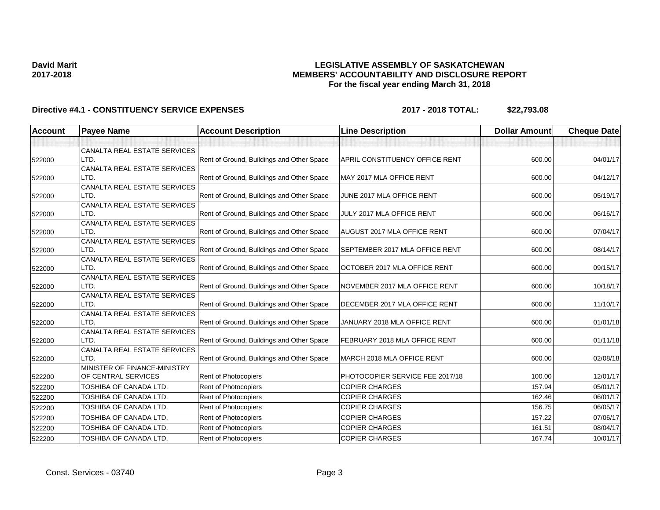### **LEGISLATIVE ASSEMBLY OF SASKATCHEWAN MEMBERS' ACCOUNTABILITY AND DISCLOSURE REPORT For the fiscal year ending March 31, 2018**

| <b>Account</b> | <b>Payee Name</b>                    | <b>Account Description</b>                | <b>Line Description</b>            | <b>Dollar Amount</b> | <b>Cheque Date</b> |
|----------------|--------------------------------------|-------------------------------------------|------------------------------------|----------------------|--------------------|
|                |                                      |                                           |                                    |                      |                    |
|                | CANALTA REAL ESTATE SERVICES         |                                           |                                    |                      |                    |
| 522000         | LTD.                                 | Rent of Ground, Buildings and Other Space | APRIL CONSTITUENCY OFFICE RENT     | 600.00               | 04/01/17           |
|                | CANALTA REAL ESTATE SERVICES         |                                           |                                    |                      |                    |
| 522000         | LTD.                                 | Rent of Ground, Buildings and Other Space | MAY 2017 MLA OFFICE RENT           | 600.00               | 04/12/17           |
|                | CANALTA REAL ESTATE SERVICES         |                                           |                                    |                      |                    |
| 522000         | LTD.                                 | Rent of Ground, Buildings and Other Space | JUNE 2017 MLA OFFICE RENT          | 600.00               | 05/19/17           |
|                | CANALTA REAL ESTATE SERVICES         |                                           |                                    |                      |                    |
| 522000         | LTD.                                 | Rent of Ground, Buildings and Other Space | JULY 2017 MLA OFFICE RENT          | 600.00               | 06/16/17           |
|                | CANALTA REAL ESTATE SERVICES         |                                           |                                    |                      |                    |
| 522000         | LTD.                                 | Rent of Ground, Buildings and Other Space | <b>AUGUST 2017 MLA OFFICE RENT</b> | 600.00               | 07/04/17           |
|                | CANALTA REAL ESTATE SERVICES         |                                           |                                    |                      |                    |
| 522000         | LTD.                                 | Rent of Ground, Buildings and Other Space | SEPTEMBER 2017 MLA OFFICE RENT     | 600.00               | 08/14/17           |
|                | CANALTA REAL ESTATE SERVICES<br>LTD. | Rent of Ground, Buildings and Other Space | OCTOBER 2017 MLA OFFICE RENT       | 600.00               | 09/15/17           |
| 522000         |                                      |                                           |                                    |                      |                    |
|                | CANALTA REAL ESTATE SERVICES<br>LTD. | Rent of Ground, Buildings and Other Space | NOVEMBER 2017 MLA OFFICE RENT      | 600.00               | 10/18/17           |
| 522000         | CANALTA REAL ESTATE SERVICES         |                                           |                                    |                      |                    |
| 522000         | LTD.                                 | Rent of Ground, Buildings and Other Space | DECEMBER 2017 MLA OFFICE RENT      | 600.00               | 11/10/17           |
|                | CANALTA REAL ESTATE SERVICES         |                                           |                                    |                      |                    |
| 522000         | LTD.                                 | Rent of Ground, Buildings and Other Space | JANUARY 2018 MLA OFFICE RENT       | 600.00               | 01/01/18           |
|                | CANALTA REAL ESTATE SERVICES         |                                           |                                    |                      |                    |
| 522000         | LTD.                                 | Rent of Ground, Buildings and Other Space | FEBRUARY 2018 MLA OFFICE RENT      | 600.00               | 01/11/18           |
|                | CANALTA REAL ESTATE SERVICES         |                                           |                                    |                      |                    |
| 522000         | LTD.                                 | Rent of Ground, Buildings and Other Space | MARCH 2018 MLA OFFICE RENT         | 600.00               | 02/08/18           |
|                | MINISTER OF FINANCE-MINISTRY         |                                           |                                    |                      |                    |
| 522200         | OF CENTRAL SERVICES                  | <b>Rent of Photocopiers</b>               | PHOTOCOPIER SERVICE FEE 2017/18    | 100.00               | 12/01/17           |
| 522200         | TOSHIBA OF CANADA LTD.               | Rent of Photocopiers                      | <b>COPIER CHARGES</b>              | 157.94               | 05/01/17           |
| 522200         | TOSHIBA OF CANADA LTD.               | Rent of Photocopiers                      | <b>COPIER CHARGES</b>              | 162.46               | 06/01/17           |
| 522200         | TOSHIBA OF CANADA LTD.               | Rent of Photocopiers                      | <b>COPIER CHARGES</b>              | 156.75               | 06/05/17           |
| 522200         | TOSHIBA OF CANADA LTD.               | Rent of Photocopiers                      | <b>COPIER CHARGES</b>              | 157.22               | 07/06/17           |
| 522200         | TOSHIBA OF CANADA LTD.               | Rent of Photocopiers                      | <b>COPIER CHARGES</b>              | 161.51               | 08/04/17           |
|                |                                      |                                           |                                    |                      |                    |
| 522200         | TOSHIBA OF CANADA LTD.               | Rent of Photocopiers                      | <b>COPIER CHARGES</b>              | 167.74               | 10/01/17           |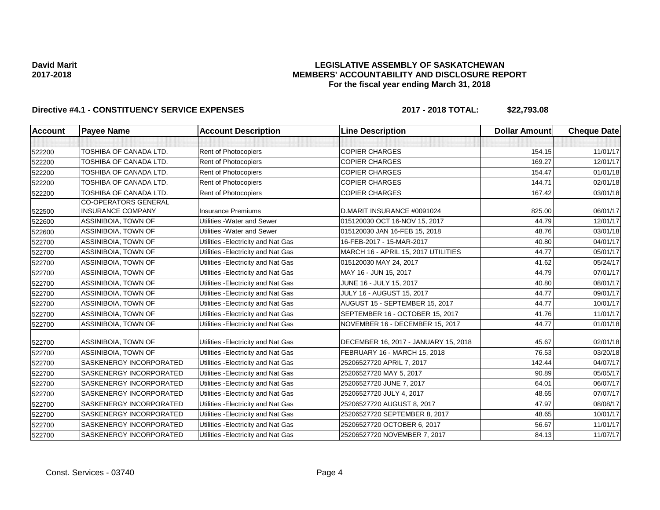### **LEGISLATIVE ASSEMBLY OF SASKATCHEWAN MEMBERS' ACCOUNTABILITY AND DISCLOSURE REPORT For the fiscal year ending March 31, 2018**

| <b>Account</b> | <b>Payee Name</b>                                       | <b>Account Description</b>          | <b>Line Description</b>              | <b>Dollar Amount</b> | <b>Cheque Date</b> |
|----------------|---------------------------------------------------------|-------------------------------------|--------------------------------------|----------------------|--------------------|
|                |                                                         |                                     |                                      |                      |                    |
| 522200         | TOSHIBA OF CANADA LTD.                                  | Rent of Photocopiers                | <b>COPIER CHARGES</b>                | 154.15               | 11/01/17           |
| 522200         | TOSHIBA OF CANADA LTD.                                  | Rent of Photocopiers                | <b>COPIER CHARGES</b>                | 169.27               | 12/01/17           |
| 522200         | <b>TOSHIBA OF CANADA LTD.</b>                           | Rent of Photocopiers                | <b>COPIER CHARGES</b>                | 154.47               | 01/01/18           |
| 522200         | TOSHIBA OF CANADA LTD.                                  | <b>Rent of Photocopiers</b>         | <b>COPIER CHARGES</b>                | 144.71               | 02/01/18           |
| 522200         | TOSHIBA OF CANADA LTD.                                  | <b>Rent of Photocopiers</b>         | <b>COPIER CHARGES</b>                | 167.42               | 03/01/18           |
| 522500         | <b>CO-OPERATORS GENERAL</b><br><b>INSURANCE COMPANY</b> | <b>Insurance Premiums</b>           | D.MARIT INSURANCE #0091024           | 825.00               | 06/01/17           |
| 522600         | ASSINIBOIA, TOWN OF                                     | Utilities - Water and Sewer         | 015120030 OCT 16-NOV 15, 2017        | 44.79                | 12/01/17           |
| 522600         | ASSINIBOIA, TOWN OF                                     | Utilities - Water and Sewer         | 015120030 JAN 16-FEB 15, 2018        | 48.76                | 03/01/18           |
| 522700         | ASSINIBOIA, TOWN OF                                     | Utilities - Electricity and Nat Gas | 16-FEB-2017 - 15-MAR-2017            | 40.80                | 04/01/17           |
| 522700         | ASSINIBOIA, TOWN OF                                     | Utilities - Electricity and Nat Gas | MARCH 16 - APRIL 15, 2017 UTILITIES  | 44.77                | 05/01/17           |
| 522700         | ASSINIBOIA, TOWN OF                                     | Utilities - Electricity and Nat Gas | 015120030 MAY 24, 2017               | 41.62                | 05/24/17           |
| 522700         | ASSINIBOIA, TOWN OF                                     | Utilities - Electricity and Nat Gas | MAY 16 - JUN 15, 2017                | 44.79                | 07/01/17           |
| 522700         | ASSINIBOIA, TOWN OF                                     | Utilities - Electricity and Nat Gas | JUNE 16 - JULY 15, 2017              | 40.80                | 08/01/17           |
| 522700         | ASSINIBOIA, TOWN OF                                     | Utilities - Electricity and Nat Gas | <b>JULY 16 - AUGUST 15, 2017</b>     | 44.77                | 09/01/17           |
| 522700         | ASSINIBOIA, TOWN OF                                     | Utilities - Electricity and Nat Gas | AUGUST 15 - SEPTEMBER 15, 2017       | 44.77                | 10/01/17           |
| 522700         | ASSINIBOIA, TOWN OF                                     | Utilities - Electricity and Nat Gas | SEPTEMBER 16 - OCTOBER 15, 2017      | 41.76                | 11/01/17           |
| 522700         | ASSINIBOIA, TOWN OF                                     | Utilities - Electricity and Nat Gas | NOVEMBER 16 - DECEMBER 15, 2017      | 44.77                | 01/01/18           |
| 522700         | ASSINIBOIA, TOWN OF                                     | Utilities - Electricity and Nat Gas | DECEMBER 16, 2017 - JANUARY 15, 2018 | 45.67                | 02/01/18           |
| 522700         | ASSINIBOIA, TOWN OF                                     | Utilities - Electricity and Nat Gas | FEBRUARY 16 - MARCH 15, 2018         | 76.53                | 03/20/18           |
| 522700         | SASKENERGY INCORPORATED                                 | Utilities - Electricity and Nat Gas | 25206527720 APRIL 7, 2017            | 142.44               | 04/07/17           |
| 522700         | SASKENERGY INCORPORATED                                 | Utilities - Electricity and Nat Gas | 25206527720 MAY 5, 2017              | 90.89                | 05/05/17           |
| 522700         | SASKENERGY INCORPORATED                                 | Utilities - Electricity and Nat Gas | 25206527720 JUNE 7, 2017             | 64.01                | 06/07/17           |
| 522700         | SASKENERGY INCORPORATED                                 | Utilities - Electricity and Nat Gas | 25206527720 JULY 4, 2017             | 48.65                | 07/07/17           |
| 522700         | SASKENERGY INCORPORATED                                 | Utilities - Electricity and Nat Gas | 25206527720 AUGUST 8, 2017           | 47.97                | 08/08/17           |
| 522700         | SASKENERGY INCORPORATED                                 | Utilities - Electricity and Nat Gas | 25206527720 SEPTEMBER 8, 2017        | 48.65                | 10/01/17           |
| 522700         | SASKENERGY INCORPORATED                                 | Utilities - Electricity and Nat Gas | 25206527720 OCTOBER 6, 2017          | 56.67                | 11/01/17           |
| 522700         | SASKENERGY INCORPORATED                                 | Utilities - Electricity and Nat Gas | 25206527720 NOVEMBER 7, 2017         | 84.13                | 11/07/17           |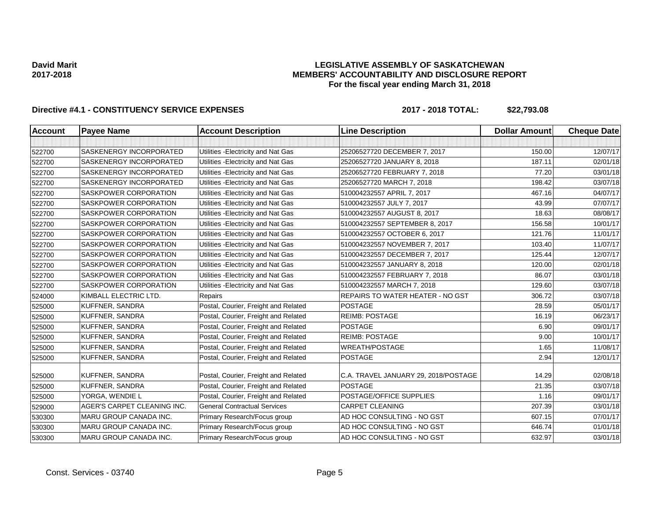### **LEGISLATIVE ASSEMBLY OF SASKATCHEWAN MEMBERS' ACCOUNTABILITY AND DISCLOSURE REPORT For the fiscal year ending March 31, 2018**

| <b>Account</b> | <b>Payee Name</b>              | <b>Account Description</b>           | <b>Line Description</b>              | <b>Dollar Amount</b> | <b>Cheque Date</b> |
|----------------|--------------------------------|--------------------------------------|--------------------------------------|----------------------|--------------------|
|                |                                |                                      |                                      |                      |                    |
| 522700         | <b>SASKENERGY INCORPORATED</b> | Utilities - Electricity and Nat Gas  | 25206527720 DECEMBER 7, 2017         | 150.00               | 12/07/17           |
| 522700         | SASKENERGY INCORPORATED        | Utilities - Electricity and Nat Gas  | 25206527720 JANUARY 8, 2018          | 187.11               | 02/01/18           |
| 522700         | SASKENERGY INCORPORATED        | Utilities - Electricity and Nat Gas  | 25206527720 FEBRUARY 7, 2018         | 77.20                | 03/01/18           |
| 522700         | SASKENERGY INCORPORATED        | Utilities - Electricity and Nat Gas  | 25206527720 MARCH 7, 2018            | 198.42               | 03/07/18           |
| 522700         | <b>SASKPOWER CORPORATION</b>   | Utilities - Electricity and Nat Gas  | 510004232557 APRIL 7, 2017           | 467.16               | 04/07/17           |
| 522700         | <b>SASKPOWER CORPORATION</b>   | Utilities - Electricity and Nat Gas  | 510004232557 JULY 7, 2017            | 43.99                | 07/07/17           |
| 522700         | SASKPOWER CORPORATION          | Utilities - Electricity and Nat Gas  | 510004232557 AUGUST 8, 2017          | 18.63                | 08/08/17           |
| 522700         | <b>SASKPOWER CORPORATION</b>   | Utilities - Electricity and Nat Gas  | 510004232557 SEPTEMBER 8, 2017       | 156.58               | 10/01/17           |
| 522700         | SASKPOWER CORPORATION          | Utilities - Electricity and Nat Gas  | 510004232557 OCTOBER 6, 2017         | 121.76               | 11/01/17           |
| 522700         | SASKPOWER CORPORATION          | Utilities - Electricity and Nat Gas  | 510004232557 NOVEMBER 7, 2017        | 103.40               | 11/07/17           |
| 522700         | <b>SASKPOWER CORPORATION</b>   | Utilities - Electricity and Nat Gas  | 510004232557 DECEMBER 7, 2017        | 125.44               | 12/07/17           |
| 522700         | SASKPOWER CORPORATION          | Utilities - Electricity and Nat Gas  | 510004232557 JANUARY 8, 2018         | 120.00               | 02/01/18           |
| 522700         | <b>SASKPOWER CORPORATION</b>   | Utilities - Electricity and Nat Gas  | 510004232557 FEBRUARY 7, 2018        | 86.07                | 03/01/18           |
| 522700         | SASKPOWER CORPORATION          | Utilities - Electricity and Nat Gas  | 510004232557 MARCH 7, 2018           | 129.60               | 03/07/18           |
| 524000         | KIMBALL ELECTRIC LTD.          | Repairs                              | REPAIRS TO WATER HEATER - NO GST     | 306.72               | 03/07/18           |
| 525000         | <b>KUFFNER, SANDRA</b>         | Postal, Courier, Freight and Related | <b>POSTAGE</b>                       | 28.59                | 05/01/17           |
| 525000         | <b>KUFFNER, SANDRA</b>         | Postal, Courier, Freight and Related | <b>REIMB: POSTAGE</b>                | 16.19                | 06/23/17           |
| 525000         | <b>KUFFNER, SANDRA</b>         | Postal, Courier, Freight and Related | <b>POSTAGE</b>                       | 6.90                 | 09/01/17           |
| 525000         | <b>KUFFNER, SANDRA</b>         | Postal, Courier, Freight and Related | <b>REIMB: POSTAGE</b>                | 9.00                 | 10/01/17           |
| 525000         | <b>KUFFNER, SANDRA</b>         | Postal, Courier, Freight and Related | <b>WREATH/POSTAGE</b>                | 1.65                 | 11/08/17           |
| 525000         | <b>KUFFNER, SANDRA</b>         | Postal, Courier, Freight and Related | <b>POSTAGE</b>                       | 2.94                 | 12/01/17           |
| 525000         | <b>KUFFNER, SANDRA</b>         | Postal, Courier, Freight and Related | C.A. TRAVEL JANUARY 29, 2018/POSTAGE | 14.29                | 02/08/18           |
| 525000         | <b>KUFFNER, SANDRA</b>         | Postal, Courier, Freight and Related | <b>POSTAGE</b>                       | 21.35                | 03/07/18           |
| 525000         | YORGA, WENDIE L                | Postal, Courier, Freight and Related | POSTAGE/OFFICE SUPPLIES              | 1.16                 | 09/01/17           |
| 529000         | AGER'S CARPET CLEANING INC.    | <b>General Contractual Services</b>  | <b>CARPET CLEANING</b>               | 207.39               | 03/01/18           |
| 530300         | MARU GROUP CANADA INC.         | Primary Research/Focus group         | AD HOC CONSULTING - NO GST           | 607.15               | 07/01/17           |
| 530300         | <b>MARU GROUP CANADA INC.</b>  | Primary Research/Focus group         | AD HOC CONSULTING - NO GST           | 646.74               | 01/01/18           |
| 530300         | MARU GROUP CANADA INC.         | Primary Research/Focus group         | AD HOC CONSULTING - NO GST           | 632.97               | 03/01/18           |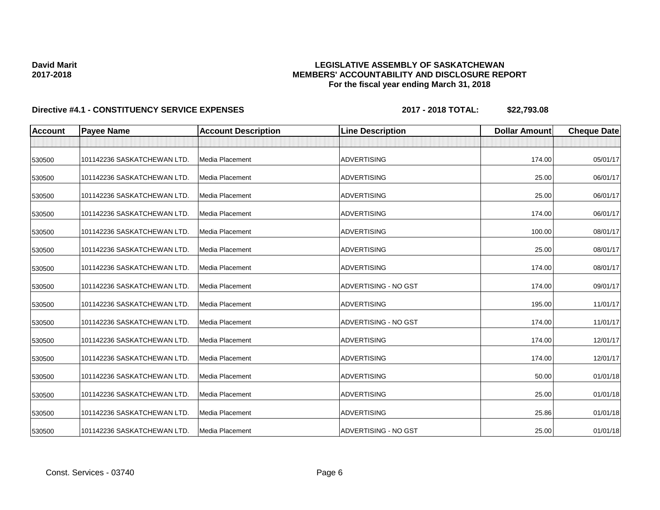### **LEGISLATIVE ASSEMBLY OF SASKATCHEWAN MEMBERS' ACCOUNTABILITY AND DISCLOSURE REPORT For the fiscal year ending March 31, 2018**

| <b>Account</b> | <b>Payee Name</b>           | <b>Account Description</b> | <b>Line Description</b> | <b>Dollar Amount</b> | <b>Cheque Date</b> |
|----------------|-----------------------------|----------------------------|-------------------------|----------------------|--------------------|
|                |                             |                            |                         |                      |                    |
| 530500         | 101142236 SASKATCHEWAN LTD. | Media Placement            | <b>ADVERTISING</b>      | 174.00               | 05/01/17           |
| 530500         | 101142236 SASKATCHEWAN LTD. | <b>Media Placement</b>     | <b>ADVERTISING</b>      | 25.00                | 06/01/17           |
| 530500         | 101142236 SASKATCHEWAN LTD. | Media Placement            | <b>ADVERTISING</b>      | 25.00                | 06/01/17           |
| 530500         | 101142236 SASKATCHEWAN LTD. | Media Placement            | <b>ADVERTISING</b>      | 174.00               | 06/01/17           |
| 530500         | 101142236 SASKATCHEWAN LTD. | Media Placement            | <b>ADVERTISING</b>      | 100.00               | 08/01/17           |
| 530500         | 101142236 SASKATCHEWAN LTD. | Media Placement            | <b>ADVERTISING</b>      | 25.00                | 08/01/17           |
| 530500         | 101142236 SASKATCHEWAN LTD. | Media Placement            | <b>ADVERTISING</b>      | 174.00               | 08/01/17           |
| 530500         | 101142236 SASKATCHEWAN LTD. | Media Placement            | ADVERTISING - NO GST    | 174.00               | 09/01/17           |
| 530500         | 101142236 SASKATCHEWAN LTD. | Media Placement            | <b>ADVERTISING</b>      | 195.00               | 11/01/17           |
| 530500         | 101142236 SASKATCHEWAN LTD. | <b>Media Placement</b>     | ADVERTISING - NO GST    | 174.00               | 11/01/17           |
| 530500         | 101142236 SASKATCHEWAN LTD. | <b>Media Placement</b>     | <b>ADVERTISING</b>      | 174.00               | 12/01/17           |
| 530500         | 101142236 SASKATCHEWAN LTD. | Media Placement            | <b>ADVERTISING</b>      | 174.00               | 12/01/17           |
| 530500         | 101142236 SASKATCHEWAN LTD. | Media Placement            | <b>ADVERTISING</b>      | 50.00                | 01/01/18           |
| 530500         | 101142236 SASKATCHEWAN LTD. | <b>Media Placement</b>     | <b>ADVERTISING</b>      | 25.00                | 01/01/18           |
| 530500         | 101142236 SASKATCHEWAN LTD. | Media Placement            | <b>ADVERTISING</b>      | 25.86                | 01/01/18           |
| 530500         | 101142236 SASKATCHEWAN LTD. | Media Placement            | ADVERTISING - NO GST    | 25.00                | 01/01/18           |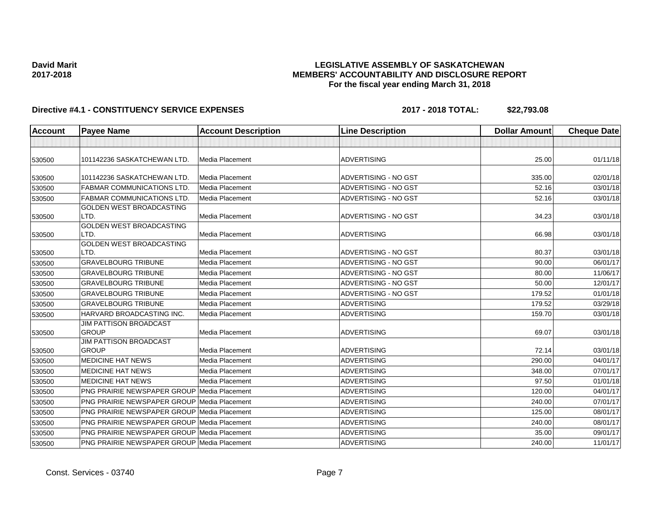### **LEGISLATIVE ASSEMBLY OF SASKATCHEWAN MEMBERS' ACCOUNTABILITY AND DISCLOSURE REPORT For the fiscal year ending March 31, 2018**

| <b>Account</b> | <b>Payee Name</b>                                  | <b>Account Description</b> | <b>Line Description</b>     | <b>Dollar Amount</b> | <b>Cheque Date</b> |
|----------------|----------------------------------------------------|----------------------------|-----------------------------|----------------------|--------------------|
|                |                                                    |                            |                             |                      |                    |
| 530500         | 101142236 SASKATCHEWAN LTD.                        | Media Placement            | <b>ADVERTISING</b>          | 25.00                | 01/11/18           |
| 530500         | 101142236 SASKATCHEWAN LTD.                        | Media Placement            | ADVERTISING - NO GST        | 335.00               | 02/01/18           |
| 530500         | <b>FABMAR COMMUNICATIONS LTD</b>                   | Media Placement            | ADVERTISING - NO GST        | 52.16                | 03/01/18           |
| 530500         | FABMAR COMMUNICATIONS LTD                          | Media Placement            | ADVERTISING - NO GST        | 52.16                | 03/01/18           |
| 530500         | GOLDEN WEST BROADCASTING<br>LTD.                   | Media Placement            | ADVERTISING - NO GST        | 34.23                | 03/01/18           |
| 530500         | <b>GOLDEN WEST BROADCASTING</b><br>LTD.            | Media Placement            | <b>ADVERTISING</b>          | 66.98                | 03/01/18           |
| 530500         | <b>GOLDEN WEST BROADCASTING</b><br>LTD.            | Media Placement            | ADVERTISING - NO GST        | 80.37                | 03/01/18           |
| 530500         | <b>GRAVELBOURG TRIBUNE</b>                         | Media Placement            | ADVERTISING - NO GST        | 90.00                | 06/01/17           |
| 530500         | <b>GRAVELBOURG TRIBUNE</b>                         | <b>Media Placement</b>     | ADVERTISING - NO GST        | 80.00                | 11/06/17           |
| 530500         | <b>GRAVELBOURG TRIBUNE</b>                         | <b>Media Placement</b>     | <b>ADVERTISING - NO GST</b> | 50.00                | 12/01/17           |
| 530500         | <b>GRAVELBOURG TRIBUNE</b>                         | <b>Media Placement</b>     | ADVERTISING - NO GST        | 179.52               | 01/01/18           |
| 530500         | <b>GRAVELBOURG TRIBUNE</b>                         | Media Placement            | <b>ADVERTISING</b>          | 179.52               | 03/29/18           |
| 530500         | HARVARD BROADCASTING INC.                          | Media Placement            | <b>ADVERTISING</b>          | 159.70               | 03/01/18           |
| 530500         | <b>JIM PATTISON BROADCAST</b><br><b>GROUP</b>      | Media Placement            | <b>ADVERTISING</b>          | 69.07                | 03/01/18           |
| 530500         | <b>JIM PATTISON BROADCAST</b><br><b>GROUP</b>      | Media Placement            | <b>ADVERTISING</b>          | 72.14                | 03/01/18           |
| 530500         | <b>MEDICINE HAT NEWS</b>                           | <b>Media Placement</b>     | <b>ADVERTISING</b>          | 290.00               | 04/01/17           |
| 530500         | <b>MEDICINE HAT NEWS</b>                           | <b>Media Placement</b>     | <b>ADVERTISING</b>          | 348.00               | 07/01/17           |
| 530500         | <b>MEDICINE HAT NEWS</b>                           | Media Placement            | <b>ADVERTISING</b>          | 97.50                | 01/01/18           |
| 530500         | <b>PNG PRAIRIE NEWSPAPER GROUP Media Placement</b> |                            | <b>ADVERTISING</b>          | 120.00               | 04/01/17           |
| 530500         | <b>PNG PRAIRIE NEWSPAPER GROUP Media Placement</b> |                            | <b>ADVERTISING</b>          | 240.00               | 07/01/17           |
| 530500         | PNG PRAIRIE NEWSPAPER GROUP Media Placement        |                            | <b>ADVERTISING</b>          | 125.00               | 08/01/17           |
| 530500         | PNG PRAIRIE NEWSPAPER GROUP Media Placement        |                            | <b>ADVERTISING</b>          | 240.00               | 08/01/17           |
| 530500         | <b>PNG PRAIRIE NEWSPAPER GROUP Media Placement</b> |                            | <b>ADVERTISING</b>          | 35.00                | 09/01/17           |
| 530500         | <b>PNG PRAIRIE NEWSPAPER GROUP Media Placement</b> |                            | <b>ADVERTISING</b>          | 240.00               | 11/01/17           |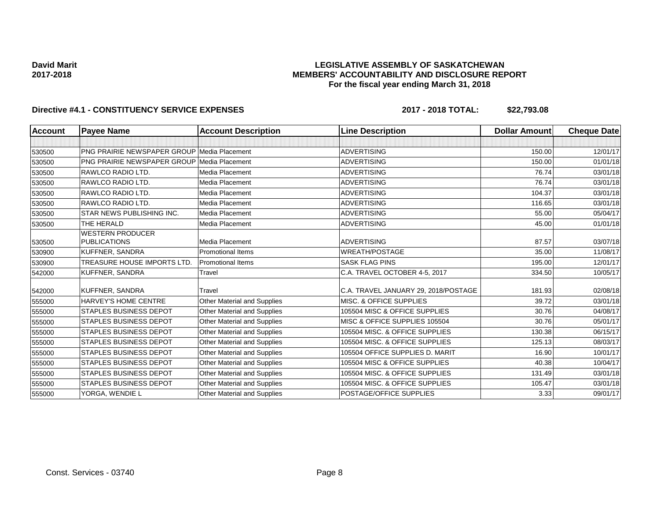### **LEGISLATIVE ASSEMBLY OF SASKATCHEWAN MEMBERS' ACCOUNTABILITY AND DISCLOSURE REPORT For the fiscal year ending March 31, 2018**

| <b>Account</b> | <b>Payee Name</b>                                  | <b>Account Description</b>         | <b>Line Description</b>              | <b>Dollar Amount</b> | <b>Cheque Date</b> |
|----------------|----------------------------------------------------|------------------------------------|--------------------------------------|----------------------|--------------------|
|                |                                                    |                                    |                                      |                      |                    |
| 530500         | <b>PNG PRAIRIE NEWSPAPER GROUP Media Placement</b> |                                    | <b>ADVERTISING</b>                   | 150.00               | 12/01/17           |
| 530500         | <b>PNG PRAIRIE NEWSPAPER GROUP Media Placement</b> |                                    | <b>ADVERTISING</b>                   | 150.00               | 01/01/18           |
| 530500         | RAWLCO RADIO LTD.                                  | Media Placement                    | <b>ADVERTISING</b>                   | 76.74                | 03/01/18           |
| 530500         | RAWLCO RADIO LTD.                                  | Media Placement                    | <b>ADVERTISING</b>                   | 76.74                | 03/01/18           |
| 530500         | RAWLCO RADIO LTD.                                  | Media Placement                    | <b>ADVERTISING</b>                   | 104.37               | 03/01/18           |
| 530500         | RAWLCO RADIO LTD.                                  | <b>Media Placement</b>             | <b>ADVERTISING</b>                   | 116.65               | 03/01/18           |
| 530500         | STAR NEWS PUBLISHING INC.                          | Media Placement                    | <b>ADVERTISING</b>                   | 55.00                | 05/04/17           |
| 530500         | THE HERALD                                         | <b>Media Placement</b>             | <b>ADVERTISING</b>                   | 45.00                | 01/01/18           |
| 530500         | <b>WESTERN PRODUCER</b><br><b>PUBLICATIONS</b>     | Media Placement                    | <b>ADVERTISING</b>                   | 87.57                | 03/07/18           |
| 530900         | KUFFNER, SANDRA                                    | <b>Promotional Items</b>           | <b>WREATH/POSTAGE</b>                | 35.00                | 11/08/17           |
| 530900         | TREASURE HOUSE IMPORTS LTD.                        | <b>Promotional Items</b>           | <b>SASK FLAG PINS</b>                | 195.00               | 12/01/17           |
| 542000         | KUFFNER, SANDRA                                    | Travel                             | C.A. TRAVEL OCTOBER 4-5, 2017        | 334.50               | 10/05/17           |
| 542000         | <b>KUFFNER, SANDRA</b>                             | Travel                             | C.A. TRAVEL JANUARY 29, 2018/POSTAGE | 181.93               | 02/08/18           |
| 555000         | HARVEY'S HOME CENTRE                               | Other Material and Supplies        | MISC. & OFFICE SUPPLIES              | 39.72                | 03/01/18           |
| 555000         | <b>STAPLES BUSINESS DEPOT</b>                      | Other Material and Supplies        | 105504 MISC & OFFICE SUPPLIES        | 30.76                | 04/08/17           |
| 555000         | <b>STAPLES BUSINESS DEPOT</b>                      | Other Material and Supplies        | MISC & OFFICE SUPPLIES 105504        | 30.76                | 05/01/17           |
| 555000         | <b>STAPLES BUSINESS DEPOT</b>                      | Other Material and Supplies        | 105504 MISC, & OFFICE SUPPLIES       | 130.38               | 06/15/17           |
| 555000         | <b>STAPLES BUSINESS DEPOT</b>                      | <b>Other Material and Supplies</b> | 105504 MISC. & OFFICE SUPPLIES       | 125.13               | 08/03/17           |
| 555000         | <b>STAPLES BUSINESS DEPOT</b>                      | Other Material and Supplies        | 105504 OFFICE SUPPLIES D. MARIT      | 16.90                | 10/01/17           |
| 555000         | <b>STAPLES BUSINESS DEPOT</b>                      | Other Material and Supplies        | 105504 MISC & OFFICE SUPPLIES        | 40.38                | 10/04/17           |
| 555000         | <b>STAPLES BUSINESS DEPOT</b>                      | Other Material and Supplies        | 105504 MISC. & OFFICE SUPPLIES       | 131.49               | 03/01/18           |
| 555000         | STAPLES BUSINESS DEPOT                             | Other Material and Supplies        | 105504 MISC. & OFFICE SUPPLIES       | 105.47               | 03/01/18           |
| 555000         | YORGA, WENDIE L                                    | Other Material and Supplies        | POSTAGE/OFFICE SUPPLIES              | 3.33                 | 09/01/17           |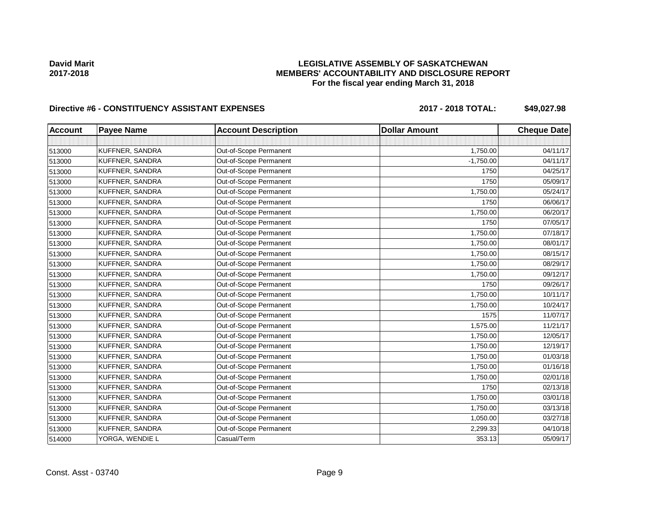### **LEGISLATIVE ASSEMBLY OF SASKATCHEWAN MEMBERS' ACCOUNTABILITY AND DISCLOSURE REPORT For the fiscal year ending March 31, 2018**

# Directive #6 - CONSTITUENCY ASSISTANT EXPENSES 2017 - 2018 TOTAL: \$49,027.98

| <b>Account</b> | <b>Payee Name</b> | <b>Account Description</b> | <b>Dollar Amount</b> | <b>Cheque Date</b> |
|----------------|-------------------|----------------------------|----------------------|--------------------|
|                |                   |                            |                      |                    |
| 513000         | KUFFNER, SANDRA   | Out-of-Scope Permanent     | 1,750.00             | 04/11/17           |
| 513000         | KUFFNER, SANDRA   | Out-of-Scope Permanent     | $-1,750.00$          | 04/11/17           |
| 513000         | KUFFNER, SANDRA   | Out-of-Scope Permanent     | 1750                 | 04/25/17           |
| 513000         | KUFFNER, SANDRA   | Out-of-Scope Permanent     | 1750                 | 05/09/17           |
| 513000         | KUFFNER, SANDRA   | Out-of-Scope Permanent     | 1,750.00             | 05/24/17           |
| 513000         | KUFFNER, SANDRA   | Out-of-Scope Permanent     | 1750                 | 06/06/17           |
| 513000         | KUFFNER, SANDRA   | Out-of-Scope Permanent     | 1,750.00             | 06/20/17           |
| 513000         | KUFFNER, SANDRA   | Out-of-Scope Permanent     | 1750                 | 07/05/17           |
| 513000         | KUFFNER, SANDRA   | Out-of-Scope Permanent     | 1,750.00             | 07/18/17           |
| 513000         | KUFFNER, SANDRA   | Out-of-Scope Permanent     | 1,750.00             | 08/01/17           |
| 513000         | KUFFNER, SANDRA   | Out-of-Scope Permanent     | 1,750.00             | 08/15/17           |
| 513000         | KUFFNER, SANDRA   | Out-of-Scope Permanent     | 1,750.00             | 08/29/17           |
| 513000         | KUFFNER, SANDRA   | Out-of-Scope Permanent     | 1,750.00             | 09/12/17           |
| 513000         | KUFFNER, SANDRA   | Out-of-Scope Permanent     | 1750                 | 09/26/17           |
| 513000         | KUFFNER, SANDRA   | Out-of-Scope Permanent     | 1,750.00             | 10/11/17           |
| 513000         | KUFFNER, SANDRA   | Out-of-Scope Permanent     | 1,750.00             | 10/24/17           |
| 513000         | KUFFNER, SANDRA   | Out-of-Scope Permanent     | 1575                 | 11/07/17           |
| 513000         | KUFFNER, SANDRA   | Out-of-Scope Permanent     | 1,575.00             | 11/21/17           |
| 513000         | KUFFNER, SANDRA   | Out-of-Scope Permanent     | 1,750.00             | 12/05/17           |
| 513000         | KUFFNER, SANDRA   | Out-of-Scope Permanent     | 1,750.00             | 12/19/17           |
| 513000         | KUFFNER, SANDRA   | Out-of-Scope Permanent     | 1,750.00             | 01/03/18           |
| 513000         | KUFFNER, SANDRA   | Out-of-Scope Permanent     | 1,750.00             | 01/16/18           |
| 513000         | KUFFNER, SANDRA   | Out-of-Scope Permanent     | 1,750.00             | 02/01/18           |
| 513000         | KUFFNER, SANDRA   | Out-of-Scope Permanent     | 1750                 | 02/13/18           |
| 513000         | KUFFNER, SANDRA   | Out-of-Scope Permanent     | 1,750.00             | 03/01/18           |
| 513000         | KUFFNER, SANDRA   | Out-of-Scope Permanent     | 1,750.00             | 03/13/18           |
| 513000         | KUFFNER, SANDRA   | Out-of-Scope Permanent     | 1,050.00             | 03/27/18           |
| 513000         | KUFFNER, SANDRA   | Out-of-Scope Permanent     | 2,299.33             | 04/10/18           |
| 514000         | YORGA, WENDIE L   | Casual/Term                | 353.13               | 05/09/17           |